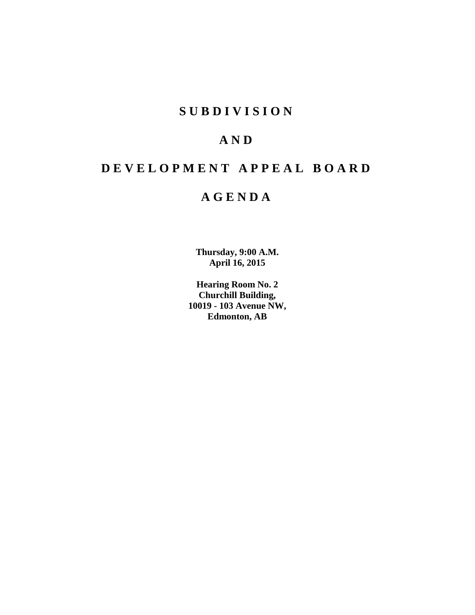## **S U B D I V I S I O N**

## **A N D**

# **D E V E L O P M E N T A P P E A L B O A R D**

## **A G E N D A**

**Thursday, 9:00 A.M. April 16, 2015**

**Hearing Room No. 2 Churchill Building, 10019 - 103 Avenue NW, Edmonton, AB**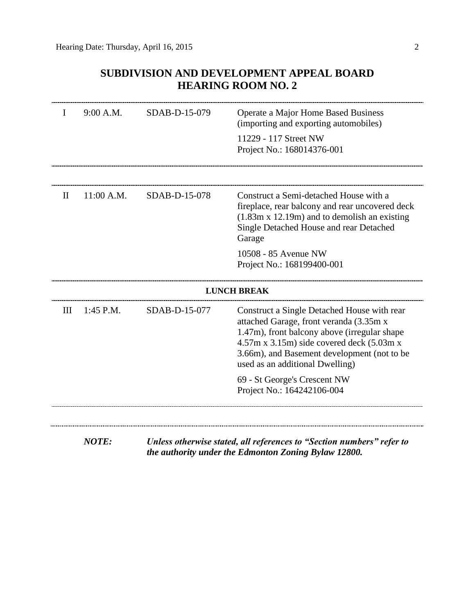## **SUBDIVISION AND DEVELOPMENT APPEAL BOARD HEARING ROOM NO. 2**

| I   | 9:00 A.M.    | SDAB-D-15-079 | Operate a Major Home Based Business<br>(importing and exporting automobiles)                                                                                                                                                                                                         |
|-----|--------------|---------------|--------------------------------------------------------------------------------------------------------------------------------------------------------------------------------------------------------------------------------------------------------------------------------------|
|     |              |               | 11229 - 117 Street NW<br>Project No.: 168014376-001                                                                                                                                                                                                                                  |
| H   | 11:00 A.M.   | SDAB-D-15-078 | Construct a Semi-detached House with a                                                                                                                                                                                                                                               |
|     |              |               | fireplace, rear balcony and rear uncovered deck<br>$(1.83m \times 12.19m)$ and to demolish an existing<br>Single Detached House and rear Detached<br>Garage                                                                                                                          |
|     |              |               | 10508 - 85 Avenue NW<br>Project No.: 168199400-001                                                                                                                                                                                                                                   |
|     |              |               | <b>LUNCH BREAK</b>                                                                                                                                                                                                                                                                   |
| III | 1:45 P.M.    | SDAB-D-15-077 | Construct a Single Detached House with rear<br>attached Garage, front veranda (3.35m x<br>1.47m), front balcony above (irregular shape<br>$4.57m \times 3.15m$ ) side covered deck $(5.03m \times$<br>3.66m), and Basement development (not to be<br>used as an additional Dwelling) |
|     |              |               | 69 - St George's Crescent NW<br>Project No.: 164242106-004                                                                                                                                                                                                                           |
|     | <b>NOTE:</b> |               | Unless otherwise stated, all references to "Section numbers" refer to                                                                                                                                                                                                                |
|     |              |               | the authority under the Edmonton Zoning Bylaw 12800.                                                                                                                                                                                                                                 |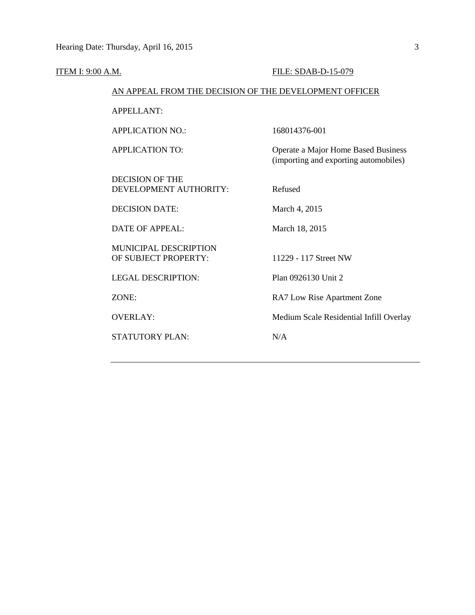| <b>ITEM I: 9:00 A.M.</b> |                                                        | FILE: SDAB-D-15-079                                                          |
|--------------------------|--------------------------------------------------------|------------------------------------------------------------------------------|
|                          | AN APPEAL FROM THE DECISION OF THE DEVELOPMENT OFFICER |                                                                              |
|                          | <b>APPELLANT:</b>                                      |                                                                              |
|                          | <b>APPLICATION NO.:</b>                                | 168014376-001                                                                |
|                          | <b>APPLICATION TO:</b>                                 | Operate a Major Home Based Business<br>(importing and exporting automobiles) |
|                          | <b>DECISION OF THE</b><br>DEVELOPMENT AUTHORITY:       | Refused                                                                      |
|                          | <b>DECISION DATE:</b>                                  | March 4, 2015                                                                |
|                          | <b>DATE OF APPEAL:</b>                                 | March 18, 2015                                                               |
|                          | <b>MUNICIPAL DESCRIPTION</b><br>OF SUBJECT PROPERTY:   | 11229 - 117 Street NW                                                        |
|                          | <b>LEGAL DESCRIPTION:</b>                              | Plan 0926130 Unit 2                                                          |
|                          | ZONE:                                                  | RA7 Low Rise Apartment Zone                                                  |
|                          | <b>OVERLAY:</b>                                        | Medium Scale Residential Infill Overlay                                      |
|                          | <b>STATUTORY PLAN:</b>                                 | N/A                                                                          |
|                          |                                                        |                                                                              |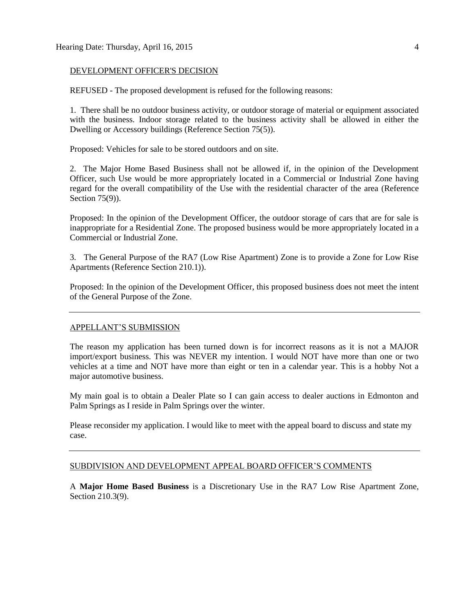#### DEVELOPMENT OFFICER'S DECISION

REFUSED - The proposed development is refused for the following reasons:

1. There shall be no outdoor business activity, or outdoor storage of material or equipment associated with the business. Indoor storage related to the business activity shall be allowed in either the Dwelling or Accessory buildings (Reference Section 75(5)).

Proposed: Vehicles for sale to be stored outdoors and on site.

2. The Major Home Based Business shall not be allowed if, in the opinion of the Development Officer, such Use would be more appropriately located in a Commercial or Industrial Zone having regard for the overall compatibility of the Use with the residential character of the area (Reference Section 75(9)).

Proposed: In the opinion of the Development Officer, the outdoor storage of cars that are for sale is inappropriate for a Residential Zone. The proposed business would be more appropriately located in a Commercial or Industrial Zone.

3. The General Purpose of the RA7 (Low Rise Apartment) Zone is to provide a Zone for Low Rise Apartments (Reference Section 210.1)).

Proposed: In the opinion of the Development Officer, this proposed business does not meet the intent of the General Purpose of the Zone.

#### APPELLANT'S SUBMISSION

The reason my application has been turned down is for incorrect reasons as it is not a MAJOR import/export business. This was NEVER my intention. I would NOT have more than one or two vehicles at a time and NOT have more than eight or ten in a calendar year. This is a hobby Not a major automotive business.

My main goal is to obtain a Dealer Plate so I can gain access to dealer auctions in Edmonton and Palm Springs as I reside in Palm Springs over the winter.

Please reconsider my application. I would like to meet with the appeal board to discuss and state my case.

#### SUBDIVISION AND DEVELOPMENT APPEAL BOARD OFFICER'S COMMENTS

A **Major Home Based Business** is a Discretionary Use in the RA7 Low Rise Apartment Zone, Section 210.3(9).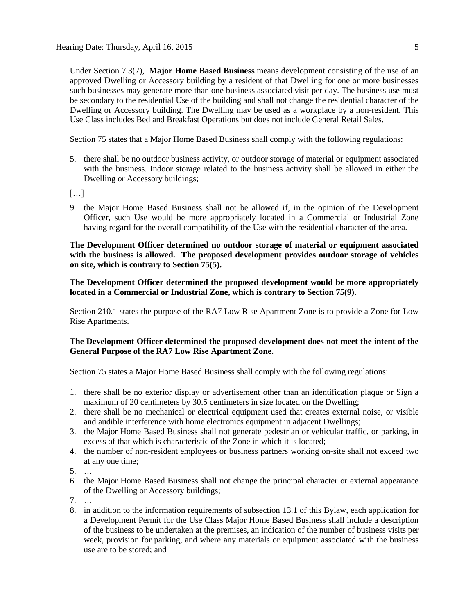Under Section 7.3(7), **Major Home Based Business** means development consisting of the use of an approved Dwelling or Accessory building by a resident of that Dwelling for one or more businesses such businesses may generate more than one business associated visit per day. The business use must be secondary to the residential Use of the building and shall not change the residential character of the Dwelling or Accessory building. The Dwelling may be used as a workplace by a non-resident. This Use Class includes Bed and Breakfast Operations but does not include General Retail Sales.

Section 75 states that a [Major Home Based Business](javascript:void(0);) shall comply with the following regulations:

- 5. there shall be no outdoor business activity, or outdoor storage of material or equipment associated with the business. Indoor storage related to the business activity shall be allowed in either the Dwelling or Accessory buildings;
- $\left[\ldots\right]$
- 9. the Major Home Based Business shall not be allowed if, in the opinion of the Development Officer, such Use would be more appropriately located in a Commercial or Industrial Zone having regard for the overall compatibility of the Use with the residential character of the area.

**The Development Officer determined no outdoor storage of material or equipment associated with the business is allowed. The proposed development provides outdoor storage of vehicles on site, which is contrary to Section 75(5).**

**The Development Officer determined the proposed development would be more appropriately located in a Commercial or Industrial Zone, which is contrary to Section 75(9).**

Section 210.1 states the purpose of the RA7 Low Rise Apartment Zone is to provide a Zone for Low Rise Apartments.

#### **The Development Officer determined the proposed development does not meet the intent of the General Purpose of the RA7 Low Rise Apartment Zone.**

Section 75 states a [Major Home Based Business](javascript:void(0);) shall comply with the following regulations:

- 1. there shall be no exterior display or advertisement other than an identification plaque or Sign a maximum of 20 centimeters by 30.5 centimeters in size located on the Dwelling;
- 2. there shall be no mechanical or electrical equipment used that creates external noise, or visible and audible interference with home electronics equipment in adjacent Dwellings;
- 3. the Major Home Based Business shall not generate pedestrian or vehicular traffic, or parking, in excess of that which is characteristic of the Zone in which it is located;
- 4. the number of non-resident employees or business partners working on-site shall not exceed two at any one time;
- 5. …
- 6. the Major Home Based Business shall not change the principal character or external appearance of the [Dwelling](javascript:void(0);) or [Accessory](javascript:void(0);) buildings;
- 7. …
- 8. in addition to the information requirements of [subsection 13.1](http://webdocs.edmonton.ca/InfraPlan/zoningbylaw/ZoningBylaw/Part1/Administrative/13__Development_Application_Submissions.htm) of this Bylaw, each application for a Development Permit for the Use Class Major Home Based Business shall include a description of the business to be undertaken at the premises, an indication of the number of business visits per week, provision for parking, and where any materials or equipment associated with the business use are to be stored; and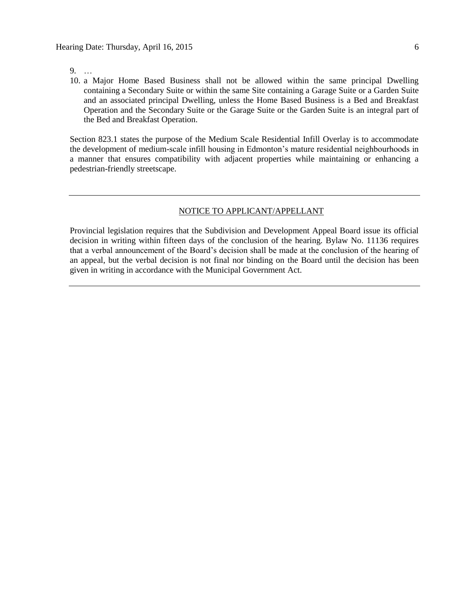9. …

10. a Major Home Based Business shall not be allowed within the same principal Dwelling containing a Secondary Suite or within the same Site containing a Garage Suite or a Garden Suite and an associated principal Dwelling, unless the Home Based Business is a Bed and Breakfast Operation and the Secondary Suite or the Garage Suite or the Garden Suite is an integral part of the Bed and Breakfast Operation.

Section 823.1 states the purpose of the Medium Scale Residential Infill Overlay is to accommodate the development of medium-scale infill housing in Edmonton's mature residential neighbourhoods in a manner that ensures compatibility with adjacent properties while maintaining or enhancing a pedestrian-friendly streetscape.

#### NOTICE TO APPLICANT/APPELLANT

Provincial legislation requires that the Subdivision and Development Appeal Board issue its official decision in writing within fifteen days of the conclusion of the hearing. Bylaw No. 11136 requires that a verbal announcement of the Board's decision shall be made at the conclusion of the hearing of an appeal, but the verbal decision is not final nor binding on the Board until the decision has been given in writing in accordance with the Municipal Government Act.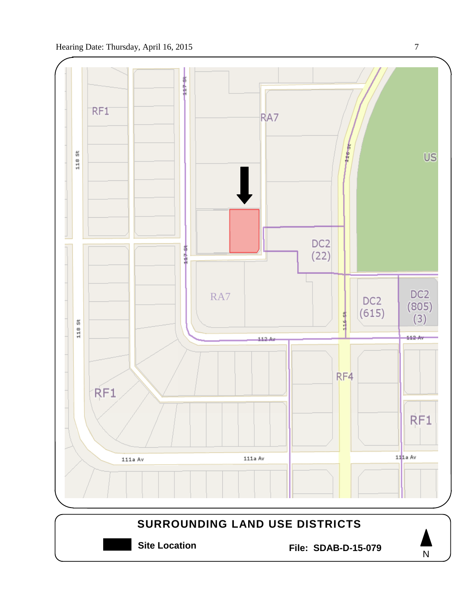

**Site Location File: SDAB-D-15-079**

N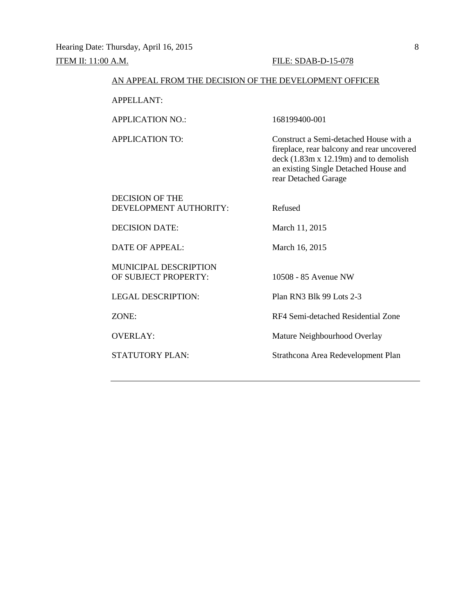#### AN APPEAL FROM THE DECISION OF THE DEVELOPMENT OFFICER

APPELLANT:

APPLICATION NO.: 168199400-001

APPLICATION TO: Construct a Semi-detached House with a fireplace, rear balcony and rear uncovered deck (1.83m x 12.19m) and to demolish an existing Single Detached House and rear Detached Garage

DECISION OF THE DEVELOPMENT AUTHORITY: Refused

DECISION DATE: March 11, 2015

DATE OF APPEAL: March 16, 2015

MUNICIPAL DESCRIPTION OF SUBJECT PROPERTY: 10508 - 85 Avenue NW

LEGAL DESCRIPTION: Plan RN3 Blk 99 Lots 2-3

ZONE: RF4 Semi-detached Residential Zone

OVERLAY: Mature Neighbourhood Overlay

STATUTORY PLAN: Strathcona Area Redevelopment Plan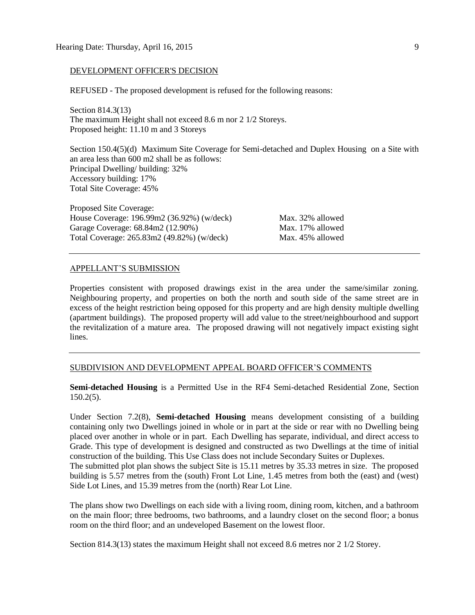#### DEVELOPMENT OFFICER'S DECISION

REFUSED - The proposed development is refused for the following reasons:

Section 814.3(13) The maximum Height shall not exceed 8.6 m nor 2 1/2 Storeys. Proposed height: 11.10 m and 3 Storeys

Section 150.4(5)(d) Maximum Site Coverage for Semi-detached and Duplex Housing on a Site with an area less than 600 m2 shall be as follows: Principal Dwelling/ building: 32% Accessory building: 17% Total Site Coverage: 45%

Proposed Site Coverage: House Coverage: 196.99m2 (36.92%) (w/deck) Max. 32% allowed Garage Coverage: 68.84m2 (12.90%) Max. 17% allowed Total Coverage: 265.83m2 (49.82%) (w/deck) Max. 45% allowed

#### APPELLANT'S SUBMISSION

Properties consistent with proposed drawings exist in the area under the same/similar zoning. Neighbouring property, and properties on both the north and south side of the same street are in excess of the height restriction being opposed for this property and are high density multiple dwelling (apartment buildings). The proposed property will add value to the street/neighbourhood and support the revitalization of a mature area. The proposed drawing will not negatively impact existing sight lines.

#### SUBDIVISION AND DEVELOPMENT APPEAL BOARD OFFICER'S COMMENTS

**Semi-detached Housing** is a Permitted Use in the RF4 Semi-detached Residential Zone, Section 150.2(5).

Under Section 7.2(8), **Semi-detached Housing** means development consisting of a building containing only two Dwellings joined in whole or in part at the side or rear with no Dwelling being placed over another in whole or in part. Each Dwelling has separate, individual, and direct access to Grade. This type of development is designed and constructed as two Dwellings at the time of initial construction of the building. This Use Class does not include Secondary Suites or Duplexes.

The submitted plot plan shows the subject Site is 15.11 metres by 35.33 metres in size. The proposed building is 5.57 metres from the (south) Front Lot Line, 1.45 metres from both the (east) and (west) Side Lot Lines, and 15.39 metres from the (north) Rear Lot Line.

The plans show two Dwellings on each side with a living room, dining room, kitchen, and a bathroom on the main floor; three bedrooms, two bathrooms, and a laundry closet on the second floor; a bonus room on the third floor; and an undeveloped Basement on the lowest floor.

Section 814.3(13) states the maximum Height shall not exceed 8.6 metres nor 2 1/2 Storey.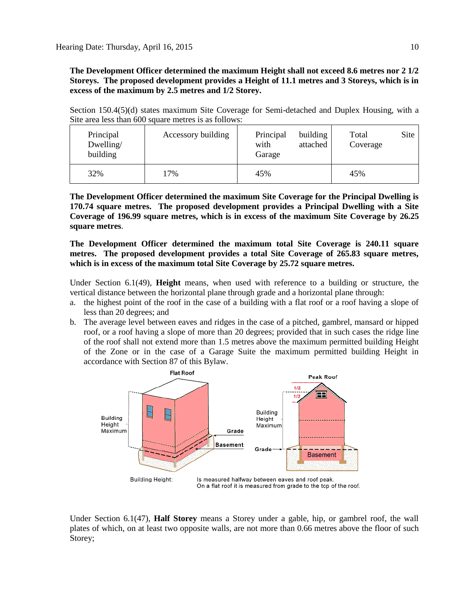**The Development Officer determined the maximum Height shall not exceed 8.6 metres nor 2 1/2 Storeys. The proposed development provides a Height of 11.1 metres and 3 Storeys, which is in excess of the maximum by 2.5 metres and 1/2 Storey.**

Section 150.4(5)(d) states maximum Site Coverage for Semi-detached and Duplex Housing, with a Site area less than 600 square metres is as follows:

| Principal<br>Dwelling/<br>building | Accessory building | Principal<br>building<br>with<br>attached<br>Garage | Site<br>Total<br>Coverage |
|------------------------------------|--------------------|-----------------------------------------------------|---------------------------|
| 32%                                | 17%                | 45%                                                 | 45%                       |

**The Development Officer determined the maximum Site Coverage for the Principal Dwelling is 170.74 square metres. The proposed development provides a Principal Dwelling with a Site Coverage of 196.99 square metres, which is in excess of the maximum Site Coverage by 26.25 square metres**.

**The Development Officer determined the maximum total Site Coverage is 240.11 square metres. The proposed development provides a total Site Coverage of 265.83 square metres, which is in excess of the maximum total Site Coverage by 25.72 square metres.**

Under Section 6.1(49), **Height** means, when used with reference to a building or structure, the vertical distance between the horizontal plane through grade and a horizontal plane through:

- a. the highest point of the roof in the case of a building with a flat roof or a roof having a slope of less than 20 degrees; and
- b. The average level between eaves and ridges in the case of a pitched, gambrel, mansard or hipped roof, or a roof having a slope of more than 20 degrees; provided that in such cases the ridge line of the roof shall not extend more than [1.5 me](javascript:void(0);)tres above the maximum permitted building Height of the Zone or in the case of a Garage Suite the maximum permitted building Height in accordance with [Section 87](http://webdocs.edmonton.ca/zoningbylaw/ZoningBylaw/Part1/Special_Land/87_Garage_and_Garden_Suites.htm) of this Bylaw.



Under Section 6.1(47), **Half Storey** means a Storey under a gable, hip, or gambrel roof, the wall plates of which, on at least two opposite walls, are not more than [0.66](javascript:void(0);) metres above the floor of such Storey;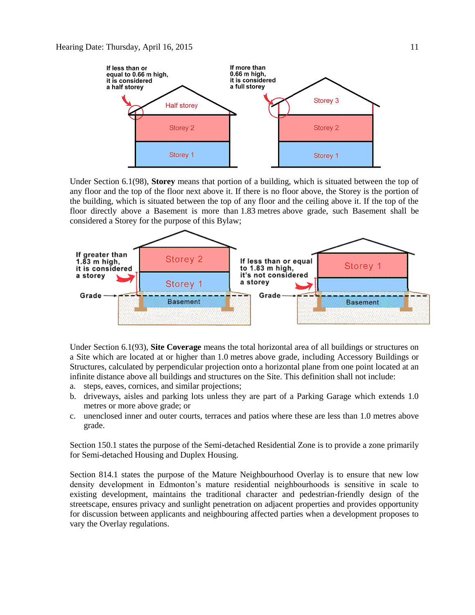

Under Section 6.1(98), **Storey** means that portion of a building, which is situated between the top of any floor and the top of the floor next above it. If there is no floor above, the Storey is the portion of the building, which is situated between the top of any floor and the ceiling above it. If the top of the floor directly above a Basement is more than [1.83](javascript:void(0);) metres above grade, such Basement shall be considered a Storey for the purpose of this Bylaw;



Under Section 6.1(93), **Site Coverage** means the total horizontal area of all buildings or structures on a Site which are located at or higher than [1.0](javascript:void(0);) metres above grade, including Accessory Buildings or Structures, calculated by perpendicular projection onto a horizontal plane from one point located at an infinite distance above all buildings and structures on the Site. This definition shall not include:

- a. steps, eaves, cornices, and similar projections;
- b. driveways, aisles and parking lots unless they are part of a Parking Garage which extends 1.0 metres or more above grade; or
- c. unenclosed inner and outer courts, terraces and patios where these are less than 1.0 metres above grade.

Section 150.1 states the purpose of the Semi-detached Residential Zone is to provide a zone primarily for Semi-detached Housing and Duplex Housing.

Section 814.1 states the purpose of the Mature Neighbourhood Overlay is to ensure that new low density development in Edmonton's mature residential neighbourhoods is sensitive in scale to existing development, maintains the traditional character and pedestrian-friendly design of the streetscape, ensures privacy and sunlight penetration on adjacent properties and provides opportunity for discussion between applicants and neighbouring affected parties when a development proposes to vary the Overlay regulations.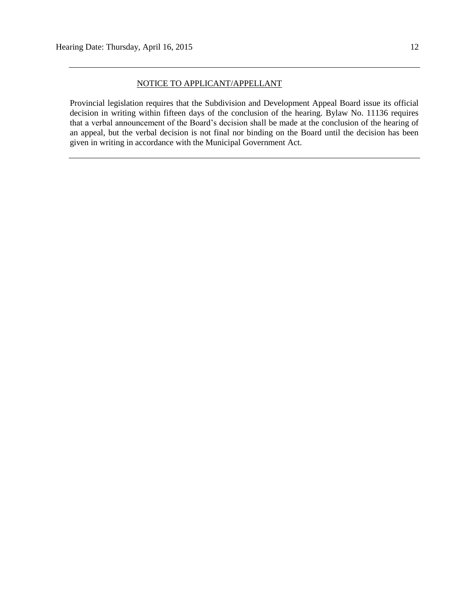#### NOTICE TO APPLICANT/APPELLANT

Provincial legislation requires that the Subdivision and Development Appeal Board issue its official decision in writing within fifteen days of the conclusion of the hearing. Bylaw No. 11136 requires that a verbal announcement of the Board's decision shall be made at the conclusion of the hearing of an appeal, but the verbal decision is not final nor binding on the Board until the decision has been given in writing in accordance with the Municipal Government Act.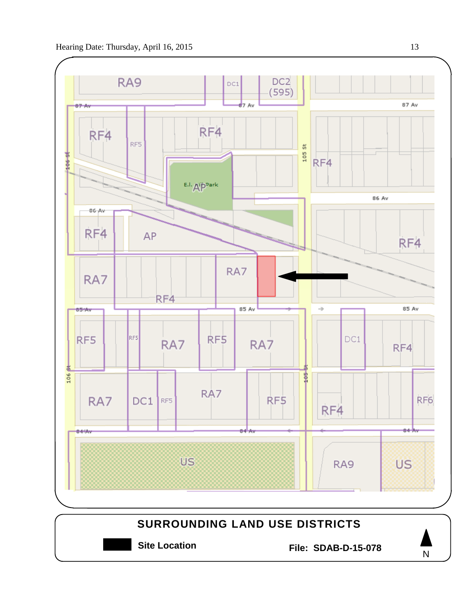

**Site Location File: SDAB-D-15-078**



N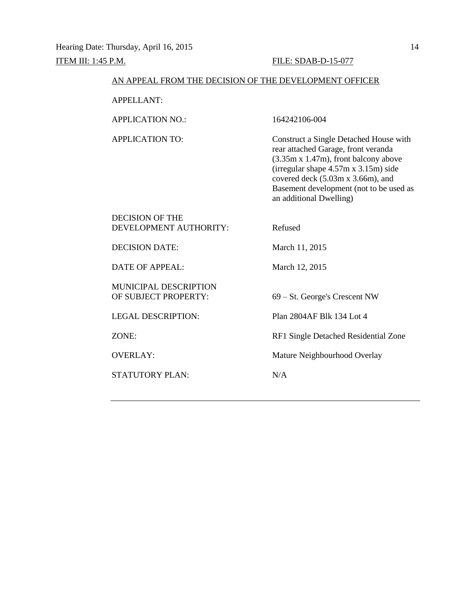#### AN APPEAL FROM THE DECISION OF THE DEVELOPMENT OFFICER

APPELLANT:

APPLICATION NO.: 164242106-004

DECISION OF THE

APPLICATION TO: Construct a Single Detached House with rear attached Garage, front veranda (3.35m x 1.47m), front balcony above (irregular shape 4.57m x 3.15m) side covered deck (5.03m x 3.66m), and Basement development (not to be used as an additional Dwelling)

| TJEV JAIVIN VE TELE<br>DEVELOPMENT AUTHORITY: | Refused                              |
|-----------------------------------------------|--------------------------------------|
| <b>DECISION DATE:</b>                         | March 11, 2015                       |
| DATE OF APPEAL:                               | March 12, 2015                       |
| MUNICIPAL DESCRIPTION<br>OF SUBJECT PROPERTY: | 69 – St. George's Crescent NW        |
| <b>LEGAL DESCRIPTION:</b>                     | Plan 2804AF Blk 134 Lot 4            |
| ZONE:                                         | RF1 Single Detached Residential Zone |
| <b>OVERLAY:</b>                               | Mature Neighbourhood Overlay         |
| <b>STATUTORY PLAN:</b>                        | N/A                                  |
|                                               |                                      |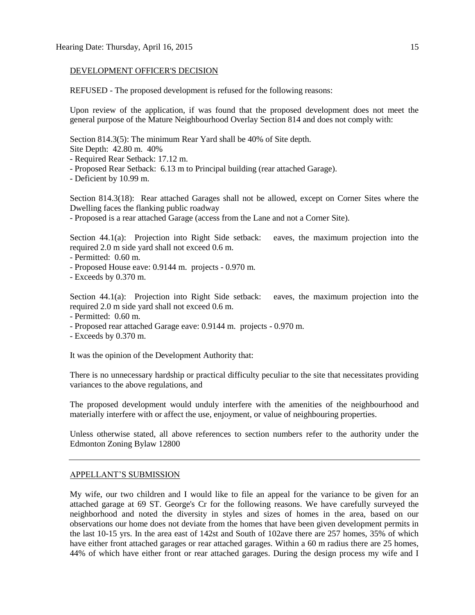#### DEVELOPMENT OFFICER'S DECISION

REFUSED - The proposed development is refused for the following reasons:

Upon review of the application, if was found that the proposed development does not meet the general purpose of the Mature Neighbourhood Overlay Section 814 and does not comply with:

Section 814.3(5): The minimum Rear Yard shall be 40% of Site depth.

Site Depth: 42.80 m. 40%

- Required Rear Setback: 17.12 m.
- Proposed Rear Setback: 6.13 m to Principal building (rear attached Garage).

- Deficient by 10.99 m.

Section 814.3(18): Rear attached Garages shall not be allowed, except on Corner Sites where the Dwelling faces the flanking public roadway

- Proposed is a rear attached Garage (access from the Lane and not a Corner Site).

Section 44.1(a): Projection into Right Side setback: eaves, the maximum projection into the required 2.0 m side yard shall not exceed 0.6 m.

- Permitted: 0.60 m.

- Proposed House eave: 0.9144 m. projects - 0.970 m.

- Exceeds by 0.370 m.

Section 44.1(a): Projection into Right Side setback: eaves, the maximum projection into the required 2.0 m side yard shall not exceed 0.6 m.

- Permitted: 0.60 m.

- Proposed rear attached Garage eave: 0.9144 m. projects 0.970 m.
- Exceeds by 0.370 m.

It was the opinion of the Development Authority that:

There is no unnecessary hardship or practical difficulty peculiar to the site that necessitates providing variances to the above regulations, and

The proposed development would unduly interfere with the amenities of the neighbourhood and materially interfere with or affect the use, enjoyment, or value of neighbouring properties.

Unless otherwise stated, all above references to section numbers refer to the authority under the Edmonton Zoning Bylaw 12800

#### APPELLANT'S SUBMISSION

My wife, our two children and I would like to file an appeal for the variance to be given for an attached garage at 69 ST. George's Cr for the following reasons. We have carefully surveyed the neighborhood and noted the diversity in styles and sizes of homes in the area, based on our observations our home does not deviate from the homes that have been given development permits in the last 10-15 yrs. In the area east of 142st and South of 102ave there are 257 homes, 35% of which have either front attached garages or rear attached garages. Within a 60 m radius there are 25 homes, 44% of which have either front or rear attached garages. During the design process my wife and I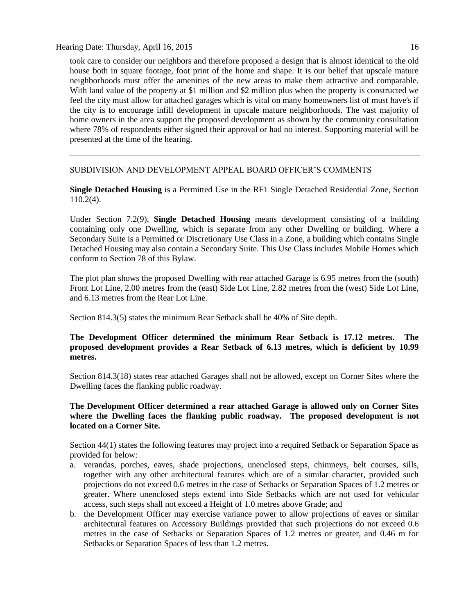Hearing Date: Thursday, April 16, 2015 16

took care to consider our neighbors and therefore proposed a design that is almost identical to the old house both in square footage, foot print of the home and shape. It is our belief that upscale mature neighborhoods must offer the amenities of the new areas to make them attractive and comparable. With land value of the property at \$1 million and \$2 million plus when the property is constructed we feel the city must allow for attached garages which is vital on many homeowners list of must have's if the city is to encourage infill development in upscale mature neighborhoods. The vast majority of home owners in the area support the proposed development as shown by the community consultation where 78% of respondents either signed their approval or had no interest. Supporting material will be presented at the time of the hearing.

### SUBDIVISION AND DEVELOPMENT APPEAL BOARD OFFICER'S COMMENTS

**Single Detached Housing** is a Permitted Use in the RF1 Single Detached Residential Zone, Section 110.2(4).

Under Section 7.2(9), **Single Detached Housing** means development consisting of a building containing only one Dwelling, which is separate from any other Dwelling or building. Where a Secondary Suite is a Permitted or Discretionary Use Class in a Zone, a building which contains Single Detached Housing may also contain a Secondary Suite. This Use Class includes Mobile Homes which conform to [Section 78](http://webdocs.edmonton.ca/InfraPlan/zoningbylaw/ZoningBylaw/Part1/Special_Land/78__Mobile_Homes.htm) of this Bylaw.

The plot plan shows the proposed Dwelling with rear attached Garage is 6.95 metres from the (south) Front Lot Line, 2.00 metres from the (east) Side Lot Line, 2.82 metres from the (west) Side Lot Line, and 6.13 metres from the Rear Lot Line.

Section 814.3(5) states the minimum Rear Setback shall be 40% of Site depth.

### **The Development Officer determined the minimum Rear Setback is 17.12 metres. The proposed development provides a Rear Setback of 6.13 metres, which is deficient by 10.99 metres.**

Section 814.3(18) states rear attached Garages shall not be allowed, except on Corner Sites where the Dwelling faces the flanking public roadway.

### **The Development Officer determined a rear attached Garage is allowed only on Corner Sites where the Dwelling faces the flanking public roadway. The proposed development is not located on a Corner Site.**

Section 44(1) states the following features may project into a required Setback or Separation Space as provided for below:

- a. verandas, porches, eaves, shade projections, unenclosed steps, chimneys, belt courses, sills, together with any other architectural features which are of a similar character, provided such projections do not exceed 0.6 metres in the case of Setbacks or Separation Spaces of 1.2 metres or greater. Where unenclosed steps extend into Side Setbacks which are not used for vehicular access, such steps shall not exceed a Height of 1.0 metres above Grade; and
- b. the Development Officer may exercise variance power to allow projections of eaves or similar architectural features on Accessory Buildings provided that such projections do not exceed 0.6 metres in the case of Setbacks or Separation Spaces of 1.2 metres or greater, and 0.46 m for Setbacks or Separation Spaces of less than 1.2 metres.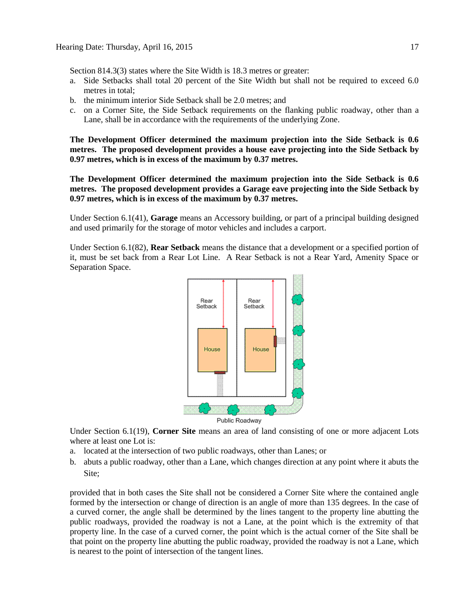Section 814.3(3) states where the Site Width is 18.3 metres or greater:

- a. Side Setbacks shall total 20 percent of the Site Width but shall not be required to exceed 6.0 metres in total;
- b. the minimum interior Side Setback shall be 2.0 metres; and
- c. on a Corner Site, the Side Setback requirements on the flanking public roadway, other than a Lane, shall be in accordance with the requirements of the underlying Zone.

**The Development Officer determined the maximum projection into the Side Setback is 0.6 metres. The proposed development provides a house eave projecting into the Side Setback by 0.97 metres, which is in excess of the maximum by 0.37 metres.**

**The Development Officer determined the maximum projection into the Side Setback is 0.6 metres. The proposed development provides a Garage eave projecting into the Side Setback by 0.97 metres, which is in excess of the maximum by 0.37 metres.**

Under Section 6.1(41), **Garage** means an Accessory building, or part of a principal building designed and used primarily for the storage of motor vehicles and includes a carport.

Under Section 6.1(82), **Rear Setback** means the distance that a development or a specified portion of it, must be set back from a Rear Lot Line. A Rear Setback is not a Rear Yard, Amenity Space or Separation Space.



Under Section 6.1(19), **Corner Site** means an area of land consisting of one or more adjacent Lots where at least one Lot is:

- a. located at the intersection of two public roadways, other than Lanes; or
- b. abuts a public roadway, other than a Lane, which changes direction at any point where it abuts the Site;

provided that in both cases the Site shall not be considered a Corner Site where the contained angle formed by the intersection or change of direction is an angle of more than 135 degrees. In the case of a curved corner, the angle shall be determined by the lines tangent to the property line abutting the public roadways, provided the roadway is not a Lane, at the point which is the extremity of that property line. In the case of a curved corner, the point which is the actual corner of the Site shall be that point on the property line abutting the public roadway, provided the roadway is not a Lane, which is nearest to the point of intersection of the tangent lines.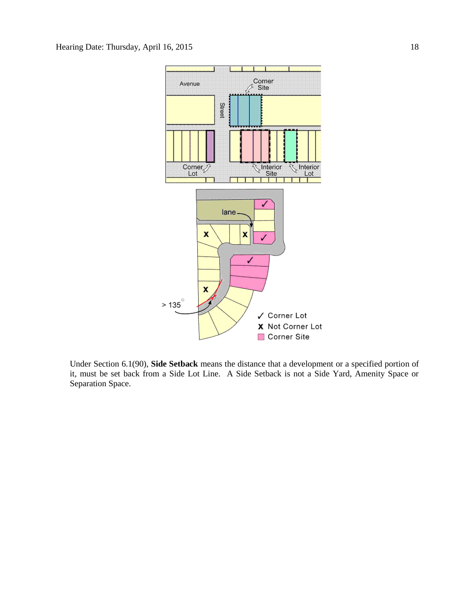

Under Section 6.1(90), **Side Setback** means the distance that a development or a specified portion of it, must be set back from a Side Lot Line. A Side Setback is not a Side Yard, Amenity Space or Separation Space.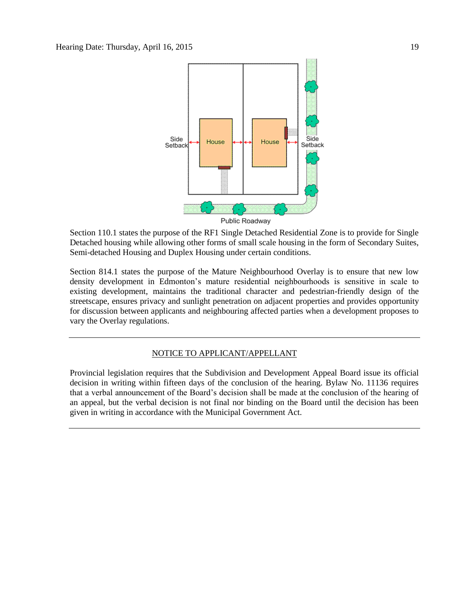

Section 110.1 states the purpose of the RF1 Single Detached Residential Zone is to provide for Single Detached housing while allowing other forms of small scale housing in the form of Secondary Suites, Semi-detached Housing and Duplex Housing under certain conditions.

Section 814.1 states the purpose of the Mature Neighbourhood Overlay is to ensure that new low density development in Edmonton's mature residential neighbourhoods is sensitive in scale to existing development, maintains the traditional character and pedestrian-friendly design of the streetscape, ensures privacy and sunlight penetration on adjacent properties and provides opportunity for discussion between applicants and neighbouring affected parties when a development proposes to vary the Overlay regulations.

#### NOTICE TO APPLICANT/APPELLANT

Provincial legislation requires that the Subdivision and Development Appeal Board issue its official decision in writing within fifteen days of the conclusion of the hearing. Bylaw No. 11136 requires that a verbal announcement of the Board's decision shall be made at the conclusion of the hearing of an appeal, but the verbal decision is not final nor binding on the Board until the decision has been given in writing in accordance with the Municipal Government Act.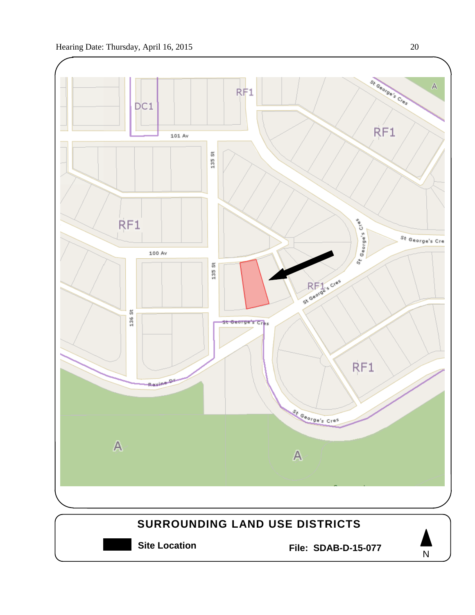